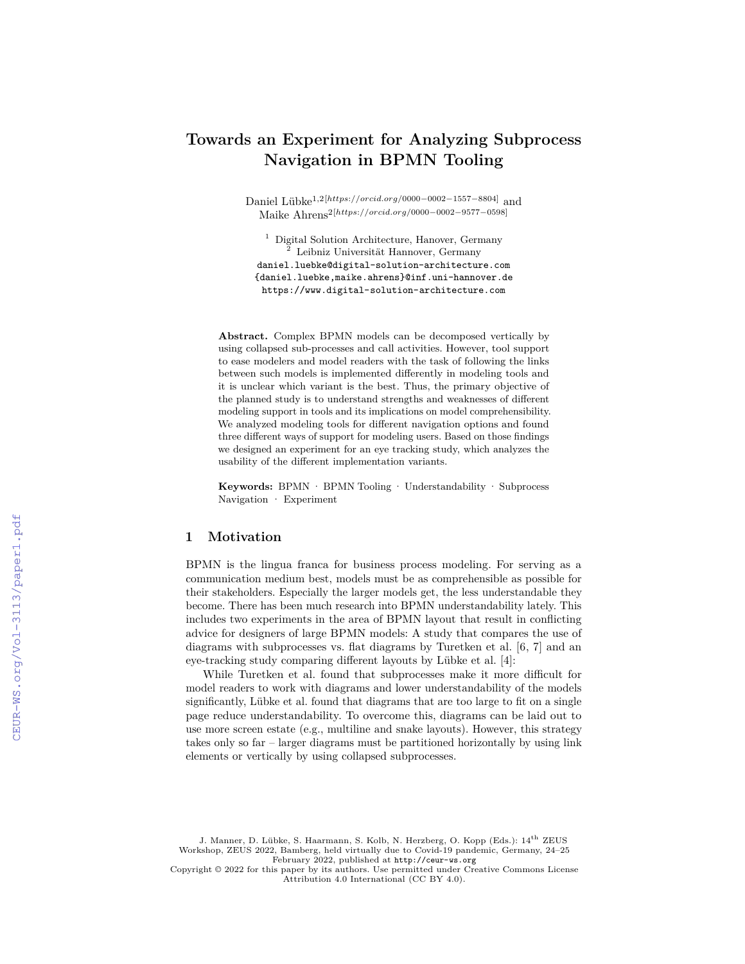# **Towards an Experiment for Analyzing Subprocess Navigation in BPMN Tooling**

Daniel Lübke1*,*2[*https*:*//orcid.org/*0000−0002−1557−8804] and Maike Ahrens2[*https*:*//orcid.org/*0000−0002−9577−0598]

<sup>1</sup> Digital Solution Architecture, Hanover, Germany <sup>2</sup> Leibniz Universität Hannover, Germany daniel.luebke@digital-solution-architecture.com {daniel.luebke,maike.ahrens}@inf.uni-hannover.de <https://www.digital-solution-architecture.com>

**Abstract.** Complex BPMN models can be decomposed vertically by using collapsed sub-processes and call activities. However, tool support to ease modelers and model readers with the task of following the links between such models is implemented differently in modeling tools and it is unclear which variant is the best. Thus, the primary objective of the planned study is to understand strengths and weaknesses of different modeling support in tools and its implications on model comprehensibility. We analyzed modeling tools for different navigation options and found three different ways of support for modeling users. Based on those findings we designed an experiment for an eye tracking study, which analyzes the usability of the different implementation variants.

**Keywords:** BPMN · BPMN Tooling · Understandability · Subprocess Navigation · Experiment

#### **1 Motivation**

BPMN is the lingua franca for business process modeling. For serving as a communication medium best, models must be as comprehensible as possible for their stakeholders. Especially the larger models get, the less understandable they become. There has been much research into BPMN understandability lately. This includes two experiments in the area of BPMN layout that result in conflicting advice for designers of large BPMN models: A study that compares the use of diagrams with subprocesses vs. flat diagrams by Turetken et al. [6, 7] and an eye-tracking study comparing different layouts by Lübke et al. [4]:

While Turetken et al. found that subprocesses make it more difficult for model readers to work with diagrams and lower understandability of the models significantly, Lübke et al. found that diagrams that are too large to fit on a single page reduce understandability. To overcome this, diagrams can be laid out to use more screen estate (e.g., multiline and snake layouts). However, this strategy takes only so far – larger diagrams must be partitioned horizontally by using link elements or vertically by using collapsed subprocesses.

J. Manner, D. Lübke, S. Haarmann, S. Kolb, N. Herzberg, O. Kopp (Eds.): 14th ZEUS Workshop, ZEUS 2022, Bamberg, held virtually due to Covid-19 pandemic, Germany, 24–25 February 2022, published at <http://ceur-ws.org>

Copyright © 2022 for this paper by its authors. Use permitted under Creative Commons License Attribution 4.0 International (CC BY 4.0).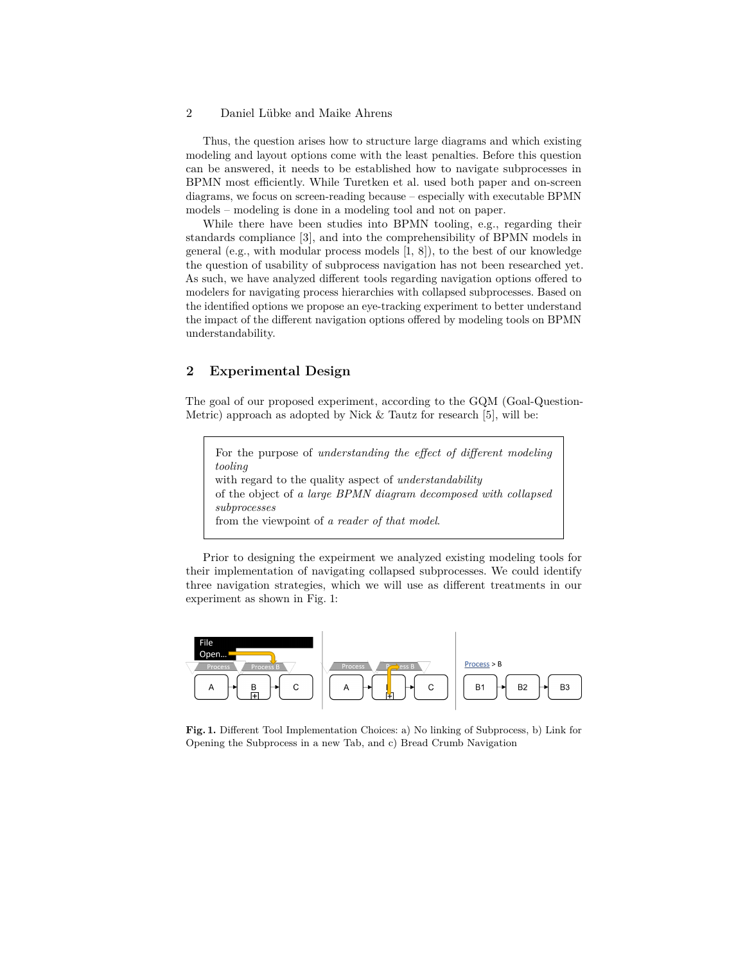#### 2 Daniel Lübke and Maike Ahrens

Thus, the question arises how to structure large diagrams and which existing modeling and layout options come with the least penalties. Before this question can be answered, it needs to be established how to navigate subprocesses in BPMN most efficiently. While Turetken et al. used both paper and on-screen diagrams, we focus on screen-reading because – especially with executable BPMN models – modeling is done in a modeling tool and not on paper.

While there have been studies into BPMN tooling, e.g., regarding their standards compliance [3], and into the comprehensibility of BPMN models in general (e.g., with modular process models [1, 8]), to the best of our knowledge the question of usability of subprocess navigation has not been researched yet. As such, we have analyzed different tools regarding navigation options offered to modelers for navigating process hierarchies with collapsed subprocesses. Based on the identified options we propose an eye-tracking experiment to better understand the impact of the different navigation options offered by modeling tools on BPMN understandability.

# **2 Experimental Design**

The goal of our proposed experiment, according to the GQM (Goal-Question-Metric) approach as adopted by Nick & Tautz for research [5], will be:

For the purpose of *understanding the effect of different modeling tooling* with regard to the quality aspect of *understandability* of the object of *a large BPMN diagram decomposed with collapsed subprocesses* from the viewpoint of *a reader of that model*.

Prior to designing the expeirment we analyzed existing modeling tools for their implementation of navigating collapsed subprocesses. We could identify three navigation strategies, which we will use as different treatments in our experiment as shown in Fig. 1:



**Fig. 1.** Different Tool Implementation Choices: a) No linking of Subprocess, b) Link for Opening the Subprocess in a new Tab, and c) Bread Crumb Navigation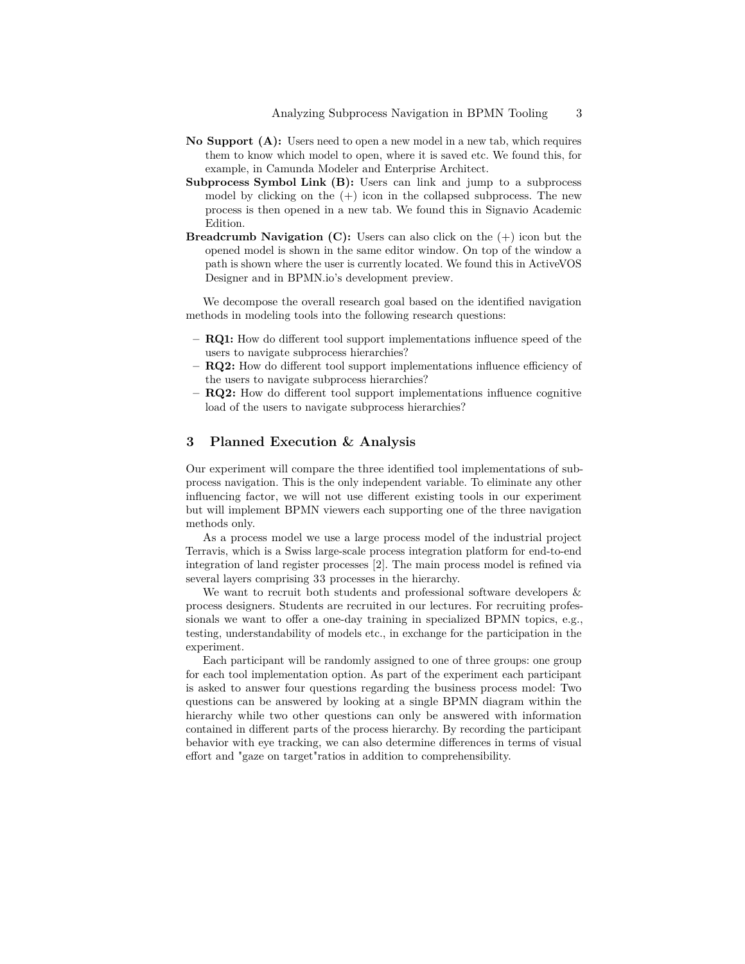- **No Support (A):** Users need to open a new model in a new tab, which requires them to know which model to open, where it is saved etc. We found this, for example, in Camunda Modeler and Enterprise Architect.
- **Subprocess Symbol Link (B):** Users can link and jump to a subprocess model by clicking on the  $(+)$  icon in the collapsed subprocess. The new process is then opened in a new tab. We found this in Signavio Academic Edition.
- **Breadcrumb Navigation**  $(C)$ **:** Users can also click on the  $(+)$  icon but the opened model is shown in the same editor window. On top of the window a path is shown where the user is currently located. We found this in ActiveVOS Designer and in BPMN.io's development preview.

We decompose the overall research goal based on the identified navigation methods in modeling tools into the following research questions:

- **– RQ1:** How do different tool support implementations influence speed of the users to navigate subprocess hierarchies?
- **– RQ2:** How do different tool support implementations influence efficiency of the users to navigate subprocess hierarchies?
- **– RQ2:** How do different tool support implementations influence cognitive load of the users to navigate subprocess hierarchies?

### **3 Planned Execution & Analysis**

Our experiment will compare the three identified tool implementations of subprocess navigation. This is the only independent variable. To eliminate any other influencing factor, we will not use different existing tools in our experiment but will implement BPMN viewers each supporting one of the three navigation methods only.

As a process model we use a large process model of the industrial project Terravis, which is a Swiss large-scale process integration platform for end-to-end integration of land register processes [2]. The main process model is refined via several layers comprising 33 processes in the hierarchy.

We want to recruit both students and professional software developers  $\&$ process designers. Students are recruited in our lectures. For recruiting professionals we want to offer a one-day training in specialized BPMN topics, e.g., testing, understandability of models etc., in exchange for the participation in the experiment.

Each participant will be randomly assigned to one of three groups: one group for each tool implementation option. As part of the experiment each participant is asked to answer four questions regarding the business process model: Two questions can be answered by looking at a single BPMN diagram within the hierarchy while two other questions can only be answered with information contained in different parts of the process hierarchy. By recording the participant behavior with eye tracking, we can also determine differences in terms of visual effort and "gaze on target"ratios in addition to comprehensibility.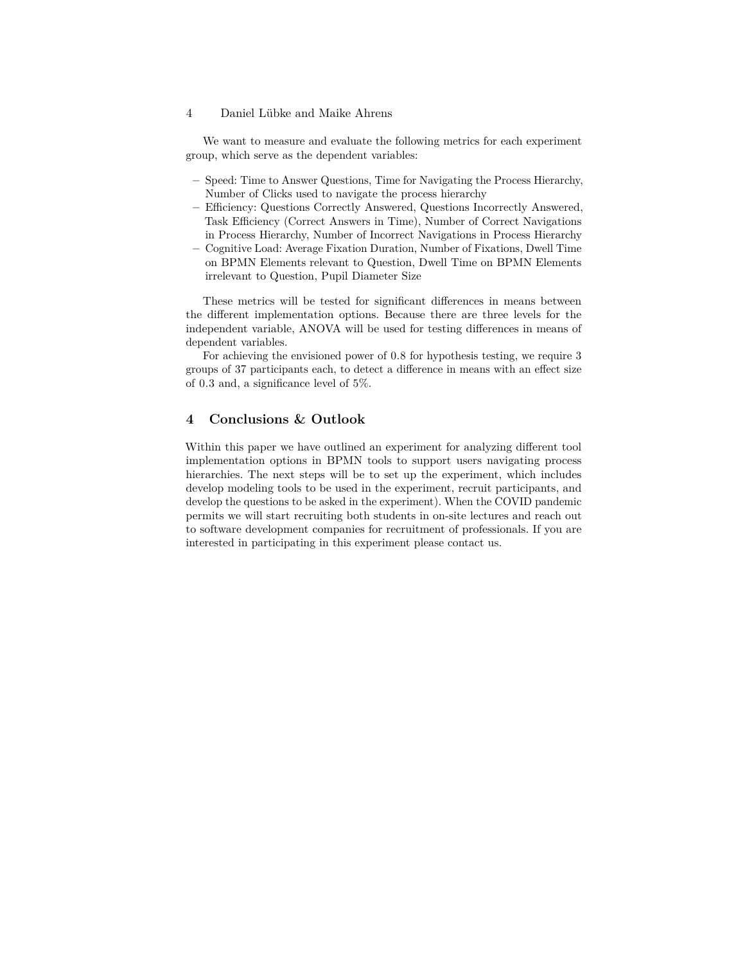#### 4 Daniel Lübke and Maike Ahrens

We want to measure and evaluate the following metrics for each experiment group, which serve as the dependent variables:

- **–** Speed: Time to Answer Questions, Time for Navigating the Process Hierarchy, Number of Clicks used to navigate the process hierarchy
- **–** Efficiency: Questions Correctly Answered, Questions Incorrectly Answered, Task Efficiency (Correct Answers in Time), Number of Correct Navigations in Process Hierarchy, Number of Incorrect Navigations in Process Hierarchy
- **–** Cognitive Load: Average Fixation Duration, Number of Fixations, Dwell Time on BPMN Elements relevant to Question, Dwell Time on BPMN Elements irrelevant to Question, Pupil Diameter Size

These metrics will be tested for significant differences in means between the different implementation options. Because there are three levels for the independent variable, ANOVA will be used for testing differences in means of dependent variables.

For achieving the envisioned power of 0.8 for hypothesis testing, we require 3 groups of 37 participants each, to detect a difference in means with an effect size of 0.3 and, a significance level of 5%.

## **4 Conclusions & Outlook**

Within this paper we have outlined an experiment for analyzing different tool implementation options in BPMN tools to support users navigating process hierarchies. The next steps will be to set up the experiment, which includes develop modeling tools to be used in the experiment, recruit participants, and develop the questions to be asked in the experiment). When the COVID pandemic permits we will start recruiting both students in on-site lectures and reach out to software development companies for recruitment of professionals. If you are interested in participating in this experiment please contact us.